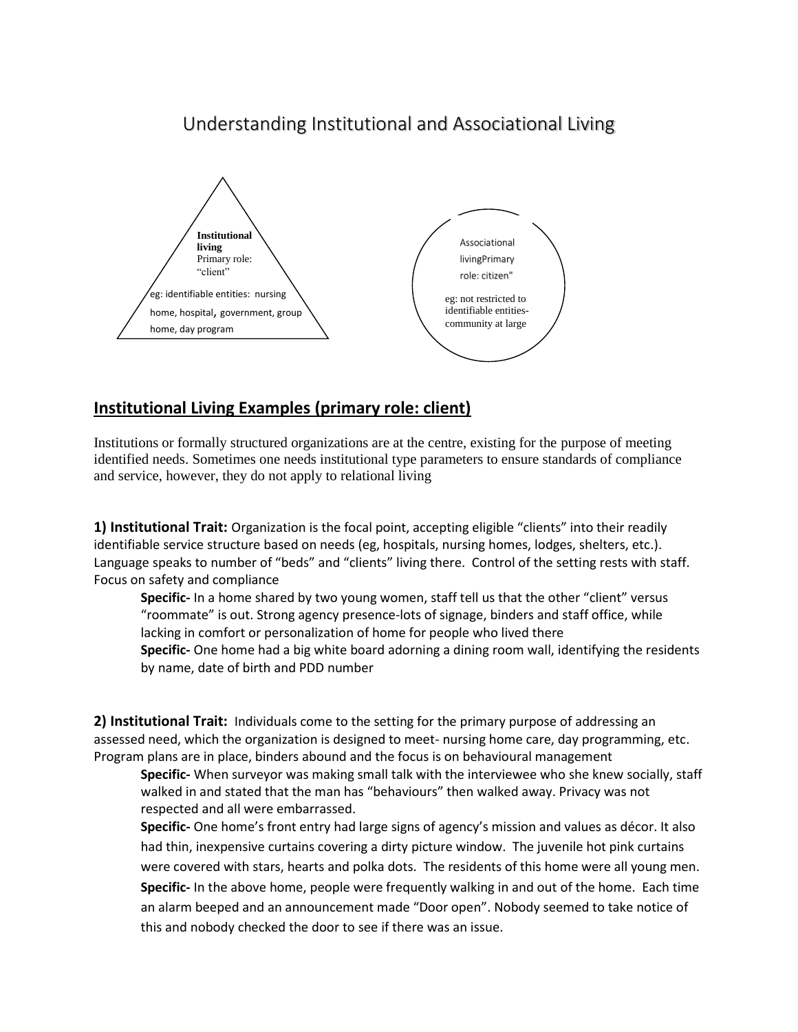# Understanding Institutional and Associational Living



## **Institutional Living Examples (primary role: client)**

Institutions or formally structured organizations are at the centre, existing for the purpose of meeting identified needs. Sometimes one needs institutional type parameters to ensure standards of compliance and service, however, they do not apply to relational living

**1) Institutional Trait:** Organization is the focal point, accepting eligible "clients" into their readily identifiable service structure based on needs (eg, hospitals, nursing homes, lodges, shelters, etc.). Language speaks to number of "beds" and "clients" living there. Control of the setting rests with staff. Focus on safety and compliance

**Specific-** In a home shared by two young women, staff tell us that the other "client" versus "roommate" is out. Strong agency presence-lots of signage, binders and staff office, while lacking in comfort or personalization of home for people who lived there **Specific-** One home had a big white board adorning a dining room wall, identifying the residents by name, date of birth and PDD number

**2) Institutional Trait:** Individuals come to the setting for the primary purpose of addressing an assessed need, which the organization is designed to meet- nursing home care, day programming, etc. Program plans are in place, binders abound and the focus is on behavioural management

**Specific-** When surveyor was making small talk with the interviewee who she knew socially, staff walked in and stated that the man has "behaviours" then walked away. Privacy was not respected and all were embarrassed.

**Specific-** One home's front entry had large signs of agency's mission and values as décor. It also had thin, inexpensive curtains covering a dirty picture window. The juvenile hot pink curtains were covered with stars, hearts and polka dots. The residents of this home were all young men. **Specific-** In the above home, people were frequently walking in and out of the home. Each time an alarm beeped and an announcement made "Door open". Nobody seemed to take notice of this and nobody checked the door to see if there was an issue.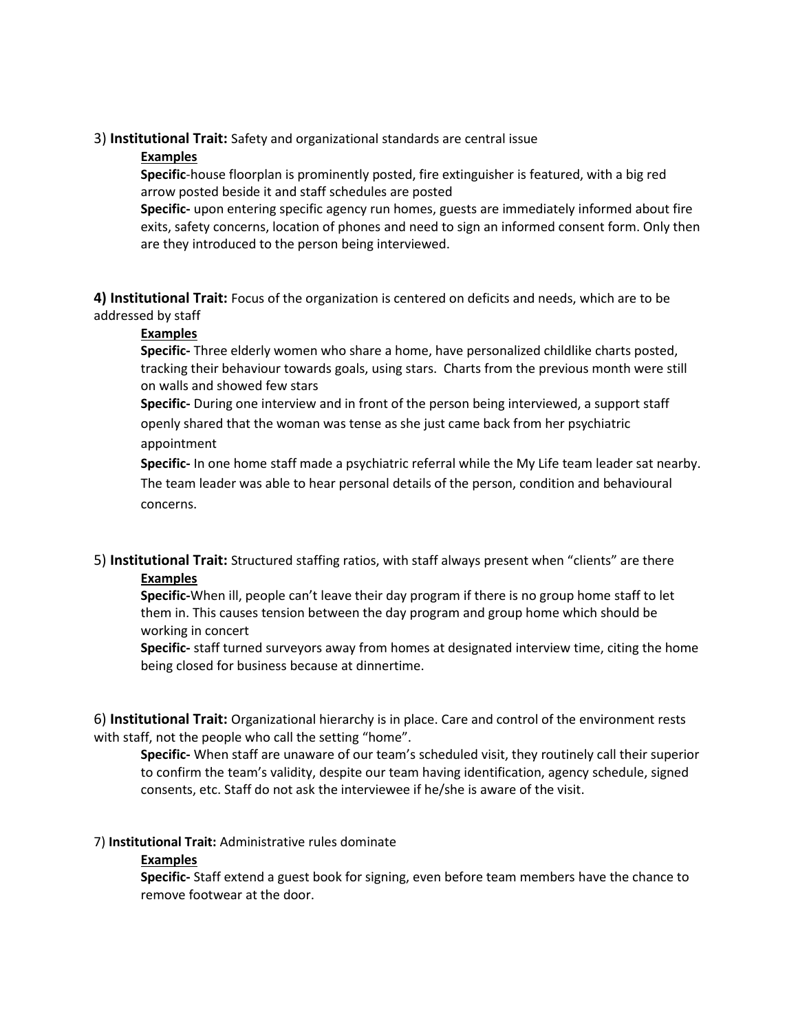#### 3) **Institutional Trait:** Safety and organizational standards are central issue

#### **Examples**

**Specific**-house floorplan is prominently posted, fire extinguisher is featured, with a big red arrow posted beside it and staff schedules are posted

**Specific-** upon entering specific agency run homes, guests are immediately informed about fire exits, safety concerns, location of phones and need to sign an informed consent form. Only then are they introduced to the person being interviewed.

**4) Institutional Trait:** Focus of the organization is centered on deficits and needs, which are to be addressed by staff

#### **Examples**

**Specific-** Three elderly women who share a home, have personalized childlike charts posted, tracking their behaviour towards goals, using stars. Charts from the previous month were still on walls and showed few stars

**Specific-** During one interview and in front of the person being interviewed, a support staff openly shared that the woman was tense as she just came back from her psychiatric appointment

**Specific-** In one home staff made a psychiatric referral while the My Life team leader sat nearby. The team leader was able to hear personal details of the person, condition and behavioural concerns.

### 5) **Institutional Trait:** Structured staffing ratios, with staff always present when "clients" are there **Examples**

**Specific-**When ill, people can't leave their day program if there is no group home staff to let them in. This causes tension between the day program and group home which should be working in concert

**Specific-** staff turned surveyors away from homes at designated interview time, citing the home being closed for business because at dinnertime.

6) **Institutional Trait:** Organizational hierarchy is in place. Care and control of the environment rests with staff, not the people who call the setting "home".

**Specific-** When staff are unaware of our team's scheduled visit, they routinely call their superior to confirm the team's validity, despite our team having identification, agency schedule, signed consents, etc. Staff do not ask the interviewee if he/she is aware of the visit.

#### 7) **Institutional Trait:** Administrative rules dominate

#### **Examples**

**Specific-** Staff extend a guest book for signing, even before team members have the chance to remove footwear at the door.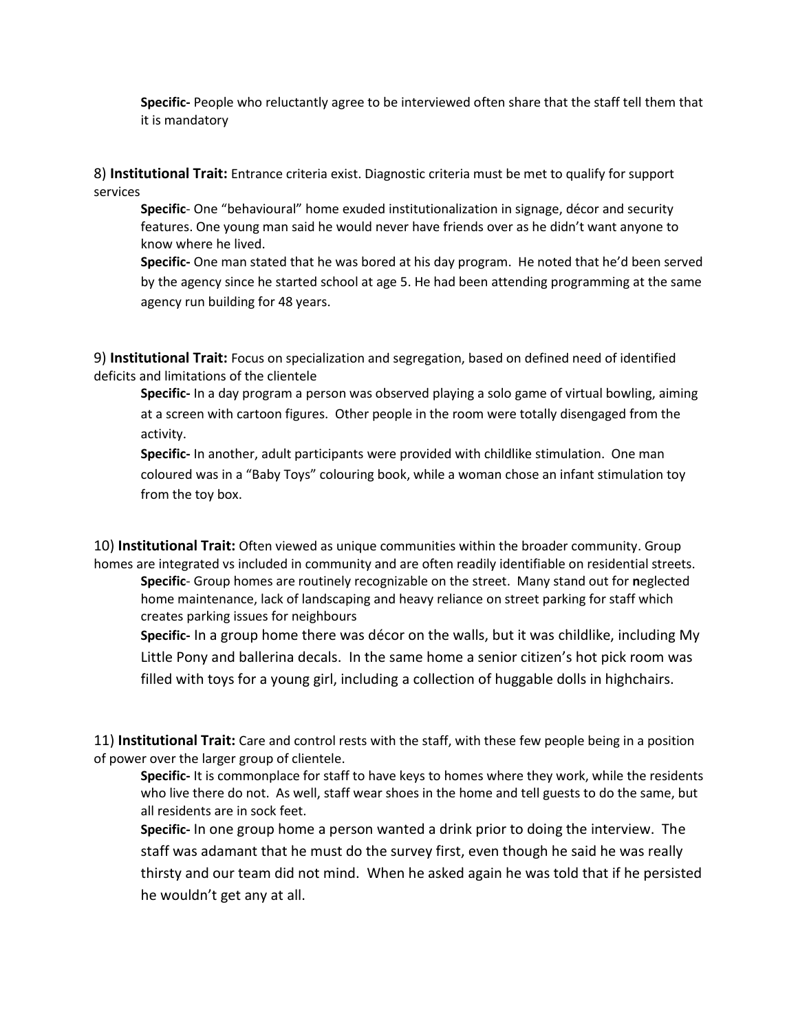**Specific-** People who reluctantly agree to be interviewed often share that the staff tell them that it is mandatory

8) **Institutional Trait:** Entrance criteria exist. Diagnostic criteria must be met to qualify for support services

**Specific**- One "behavioural" home exuded institutionalization in signage, décor and security features. One young man said he would never have friends over as he didn't want anyone to know where he lived.

**Specific-** One man stated that he was bored at his day program. He noted that he'd been served by the agency since he started school at age 5. He had been attending programming at the same agency run building for 48 years.

9) **Institutional Trait:** Focus on specialization and segregation, based on defined need of identified deficits and limitations of the clientele

**Specific-** In a day program a person was observed playing a solo game of virtual bowling, aiming at a screen with cartoon figures. Other people in the room were totally disengaged from the activity.

**Specific-** In another, adult participants were provided with childlike stimulation. One man coloured was in a "Baby Toys" colouring book, while a woman chose an infant stimulation toy from the toy box.

10) **Institutional Trait:** Often viewed as unique communities within the broader community. Group homes are integrated vs included in community and are often readily identifiable on residential streets.

**Specific**- Group homes are routinely recognizable on the street. Many stand out for **n**eglected home maintenance, lack of landscaping and heavy reliance on street parking for staff which creates parking issues for neighbours

**Specific-** In a group home there was décor on the walls, but it was childlike, including My Little Pony and ballerina decals. In the same home a senior citizen's hot pick room was filled with toys for a young girl, including a collection of huggable dolls in highchairs.

11) **Institutional Trait:** Care and control rests with the staff, with these few people being in a position of power over the larger group of clientele.

**Specific-** It is commonplace for staff to have keys to homes where they work, while the residents who live there do not. As well, staff wear shoes in the home and tell guests to do the same, but all residents are in sock feet.

**Specific-** In one group home a person wanted a drink prior to doing the interview. The staff was adamant that he must do the survey first, even though he said he was really thirsty and our team did not mind. When he asked again he was told that if he persisted he wouldn't get any at all.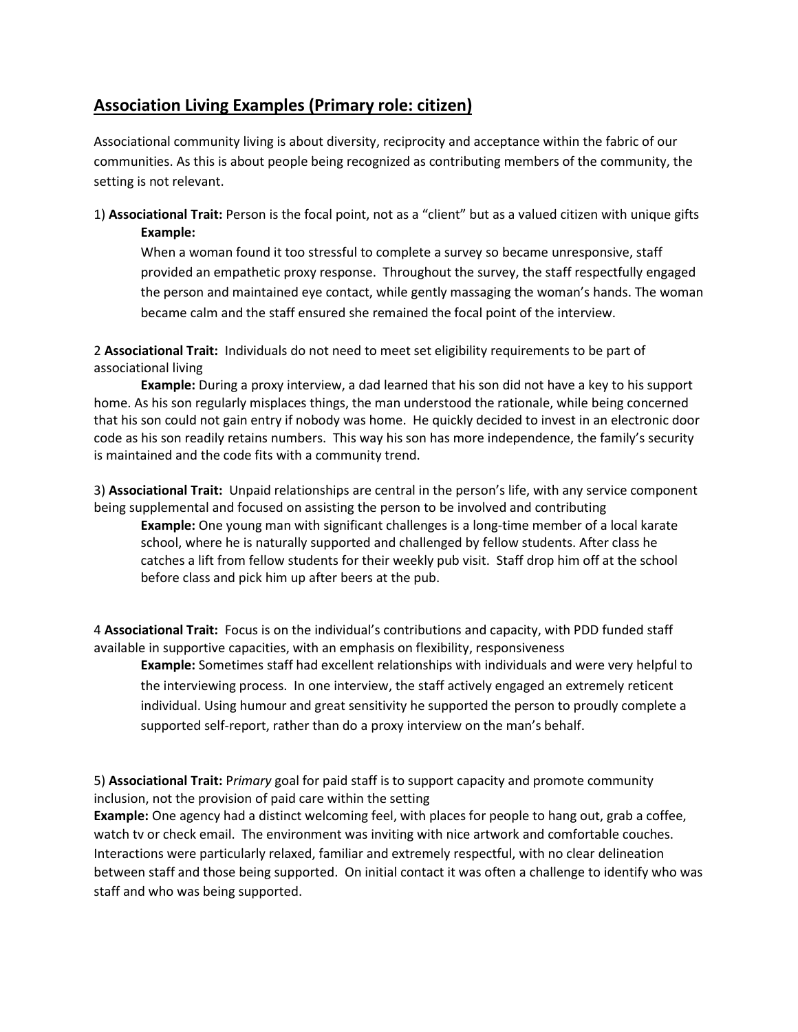## **Association Living Examples (Primary role: citizen)**

Associational community living is about diversity, reciprocity and acceptance within the fabric of our communities. As this is about people being recognized as contributing members of the community, the setting is not relevant.

1) **Associational Trait:** Person is the focal point, not as a "client" but as a valued citizen with unique gifts **Example:**

When a woman found it too stressful to complete a survey so became unresponsive, staff provided an empathetic proxy response. Throughout the survey, the staff respectfully engaged the person and maintained eye contact, while gently massaging the woman's hands. The woman became calm and the staff ensured she remained the focal point of the interview.

2 **Associational Trait:** Individuals do not need to meet set eligibility requirements to be part of associational living

**Example:** During a proxy interview, a dad learned that his son did not have a key to his support home. As his son regularly misplaces things, the man understood the rationale, while being concerned that his son could not gain entry if nobody was home. He quickly decided to invest in an electronic door code as his son readily retains numbers. This way his son has more independence, the family's security is maintained and the code fits with a community trend.

3) **Associational Trait:** Unpaid relationships are central in the person's life, with any service component being supplemental and focused on assisting the person to be involved and contributing

**Example:** One young man with significant challenges is a long-time member of a local karate school, where he is naturally supported and challenged by fellow students. After class he catches a lift from fellow students for their weekly pub visit. Staff drop him off at the school before class and pick him up after beers at the pub.

4 **Associational Trait:** Focus is on the individual's contributions and capacity, with PDD funded staff available in supportive capacities, with an emphasis on flexibility, responsiveness

**Example:** Sometimes staff had excellent relationships with individuals and were very helpful to the interviewing process. In one interview, the staff actively engaged an extremely reticent individual. Using humour and great sensitivity he supported the person to proudly complete a supported self-report, rather than do a proxy interview on the man's behalf.

5) **Associational Trait:** P*rimary* goal for paid staff is to support capacity and promote community inclusion, not the provision of paid care within the setting

**Example:** One agency had a distinct welcoming feel, with places for people to hang out, grab a coffee, watch tv or check email. The environment was inviting with nice artwork and comfortable couches. Interactions were particularly relaxed, familiar and extremely respectful, with no clear delineation between staff and those being supported. On initial contact it was often a challenge to identify who was staff and who was being supported.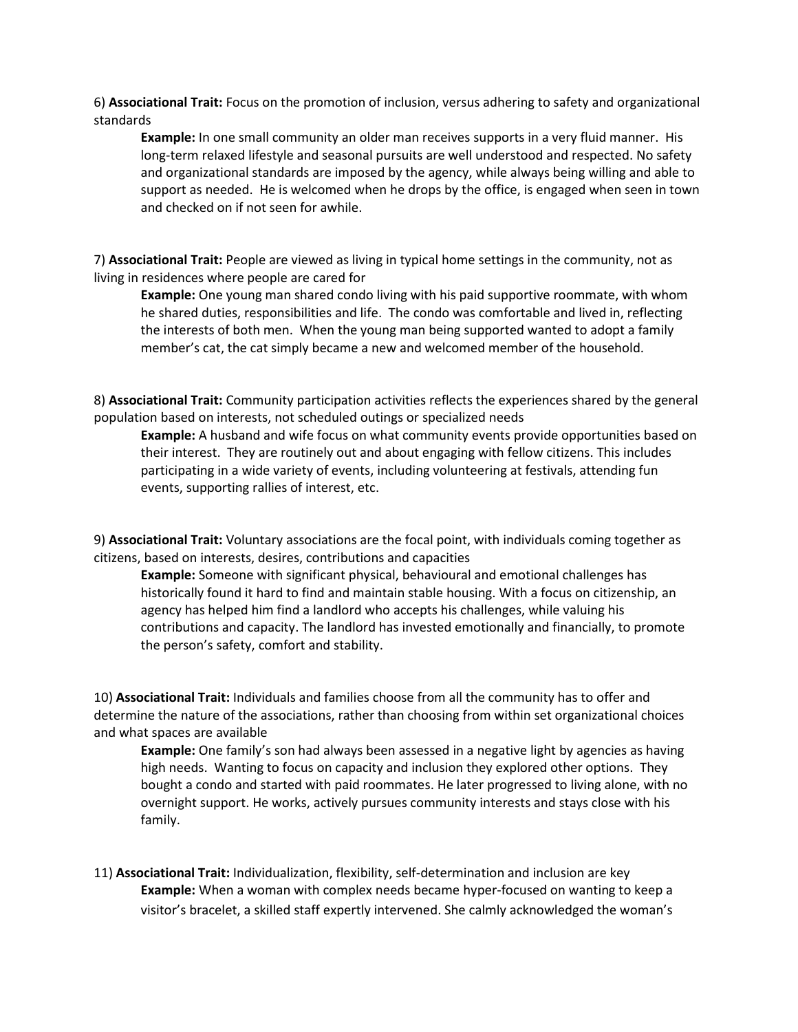6) **Associational Trait:** Focus on the promotion of inclusion, versus adhering to safety and organizational standards

**Example:** In one small community an older man receives supports in a very fluid manner. His long-term relaxed lifestyle and seasonal pursuits are well understood and respected. No safety and organizational standards are imposed by the agency, while always being willing and able to support as needed. He is welcomed when he drops by the office, is engaged when seen in town and checked on if not seen for awhile.

7) **Associational Trait:** People are viewed as living in typical home settings in the community, not as living in residences where people are cared for

**Example:** One young man shared condo living with his paid supportive roommate, with whom he shared duties, responsibilities and life. The condo was comfortable and lived in, reflecting the interests of both men. When the young man being supported wanted to adopt a family member's cat, the cat simply became a new and welcomed member of the household.

8) **Associational Trait:** Community participation activities reflects the experiences shared by the general population based on interests, not scheduled outings or specialized needs

**Example:** A husband and wife focus on what community events provide opportunities based on their interest. They are routinely out and about engaging with fellow citizens. This includes participating in a wide variety of events, including volunteering at festivals, attending fun events, supporting rallies of interest, etc.

9) **Associational Trait:** Voluntary associations are the focal point, with individuals coming together as citizens, based on interests, desires, contributions and capacities

**Example:** Someone with significant physical, behavioural and emotional challenges has historically found it hard to find and maintain stable housing. With a focus on citizenship, an agency has helped him find a landlord who accepts his challenges, while valuing his contributions and capacity. The landlord has invested emotionally and financially, to promote the person's safety, comfort and stability.

10) **Associational Trait:** Individuals and families choose from all the community has to offer and determine the nature of the associations, rather than choosing from within set organizational choices and what spaces are available

**Example:** One family's son had always been assessed in a negative light by agencies as having high needs. Wanting to focus on capacity and inclusion they explored other options. They bought a condo and started with paid roommates. He later progressed to living alone, with no overnight support. He works, actively pursues community interests and stays close with his family.

11) **Associational Trait:** Individualization, flexibility, self-determination and inclusion are key **Example:** When a woman with complex needs became hyper-focused on wanting to keep a visitor's bracelet, a skilled staff expertly intervened. She calmly acknowledged the woman's